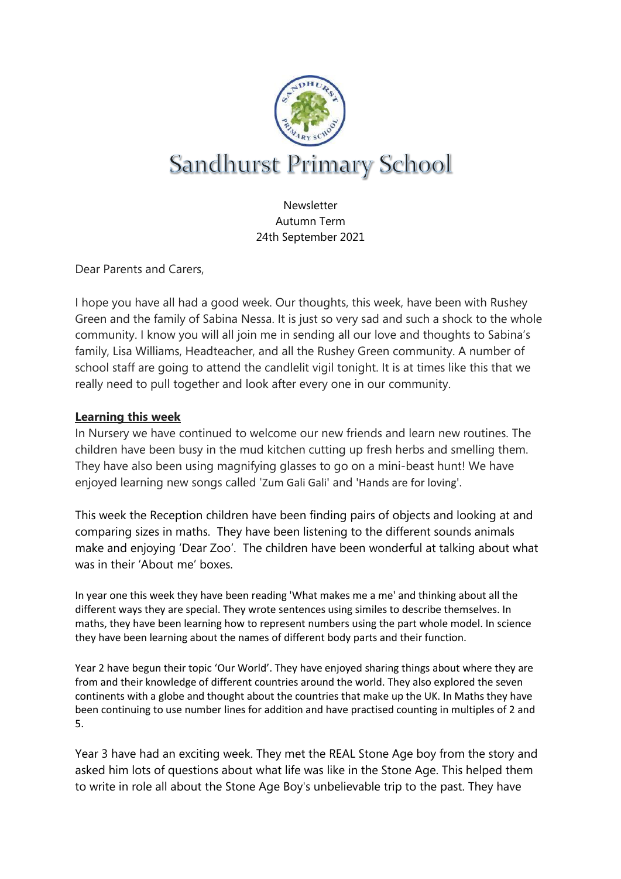

Newsletter Autumn Term 24th September 2021

Dear Parents and Carers,

I hope you have all had a good week. Our thoughts, this week, have been with Rushey Green and the family of Sabina Nessa. It is just so very sad and such a shock to the whole community. I know you will all join me in sending all our love and thoughts to Sabina's family, Lisa Williams, Headteacher, and all the Rushey Green community. A number of school staff are going to attend the candlelit vigil tonight. It is at times like this that we really need to pull together and look after every one in our community.

### **Learning this week**

In Nursery we have continued to welcome our new friends and learn new routines. The children have been busy in the mud kitchen cutting up fresh herbs and smelling them. They have also been using magnifying glasses to go on a mini-beast hunt! We have enjoyed learning new songs called 'Zum Gali Gali' and 'Hands are for loving'.

This week the Reception children have been finding pairs of objects and looking at and comparing sizes in maths. They have been listening to the different sounds animals make and enjoying 'Dear Zoo'. The children have been wonderful at talking about what was in their 'About me' boxes.

In year one this week they have been reading 'What makes me a me' and thinking about all the different ways they are special. They wrote sentences using similes to describe themselves. In maths, they have been learning how to represent numbers using the part whole model. In science they have been learning about the names of different body parts and their function.

Year 2 have begun their topic 'Our World'. They have enjoyed sharing things about where they are from and their knowledge of different countries around the world. They also explored the seven continents with a globe and thought about the countries that make up the UK. In Maths they have been continuing to use number lines for addition and have practised counting in multiples of 2 and 5.

Year 3 have had an exciting week. They met the REAL Stone Age boy from the story and asked him lots of questions about what life was like in the Stone Age. This helped them to write in role all about the Stone Age Boy's unbelievable trip to the past. They have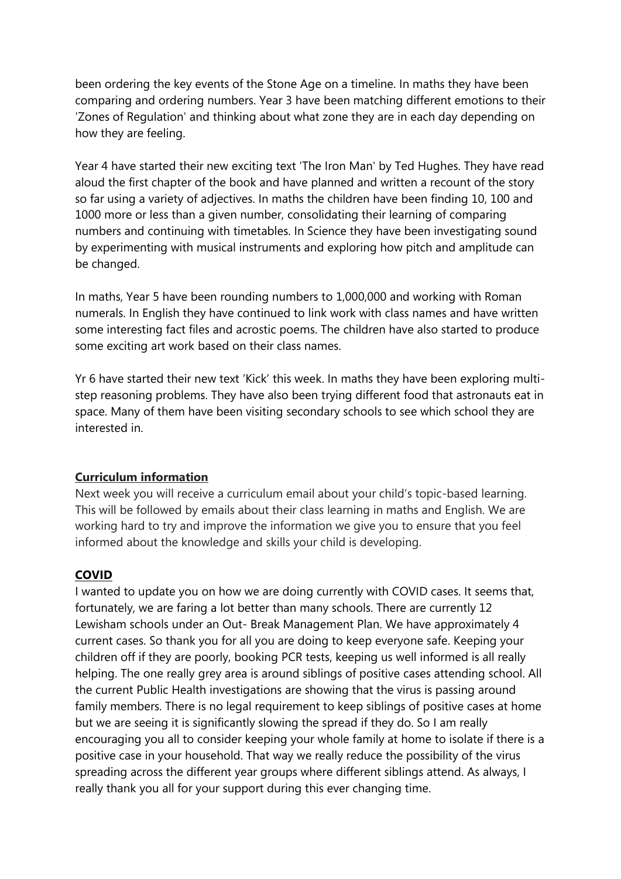been ordering the key events of the Stone Age on a timeline. In maths they have been comparing and ordering numbers. Year 3 have been matching different emotions to their 'Zones of Regulation' and thinking about what zone they are in each day depending on how they are feeling.

Year 4 have started their new exciting text 'The Iron Man' by Ted Hughes. They have read aloud the first chapter of the book and have planned and written a recount of the story so far using a variety of adjectives. In maths the children have been finding 10, 100 and 1000 more or less than a given number, consolidating their learning of comparing numbers and continuing with timetables. In Science they have been investigating sound by experimenting with musical instruments and exploring how pitch and amplitude can be changed.

In maths, Year 5 have been rounding numbers to 1,000,000 and working with Roman numerals. In English they have continued to link work with class names and have written some interesting fact files and acrostic poems. The children have also started to produce some exciting art work based on their class names.

Yr 6 have started their new text 'Kick' this week. In maths they have been exploring multistep reasoning problems. They have also been trying different food that astronauts eat in space. Many of them have been visiting secondary schools to see which school they are interested in.

#### **Curriculum information**

Next week you will receive a curriculum email about your child's topic-based learning. This will be followed by emails about their class learning in maths and English. We are working hard to try and improve the information we give you to ensure that you feel informed about the knowledge and skills your child is developing.

#### **COVID**

I wanted to update you on how we are doing currently with COVID cases. It seems that, fortunately, we are faring a lot better than many schools. There are currently 12 Lewisham schools under an Out- Break Management Plan. We have approximately 4 current cases. So thank you for all you are doing to keep everyone safe. Keeping your children off if they are poorly, booking PCR tests, keeping us well informed is all really helping. The one really grey area is around siblings of positive cases attending school. All the current Public Health investigations are showing that the virus is passing around family members. There is no legal requirement to keep siblings of positive cases at home but we are seeing it is significantly slowing the spread if they do. So I am really encouraging you all to consider keeping your whole family at home to isolate if there is a positive case in your household. That way we really reduce the possibility of the virus spreading across the different year groups where different siblings attend. As always, I really thank you all for your support during this ever changing time.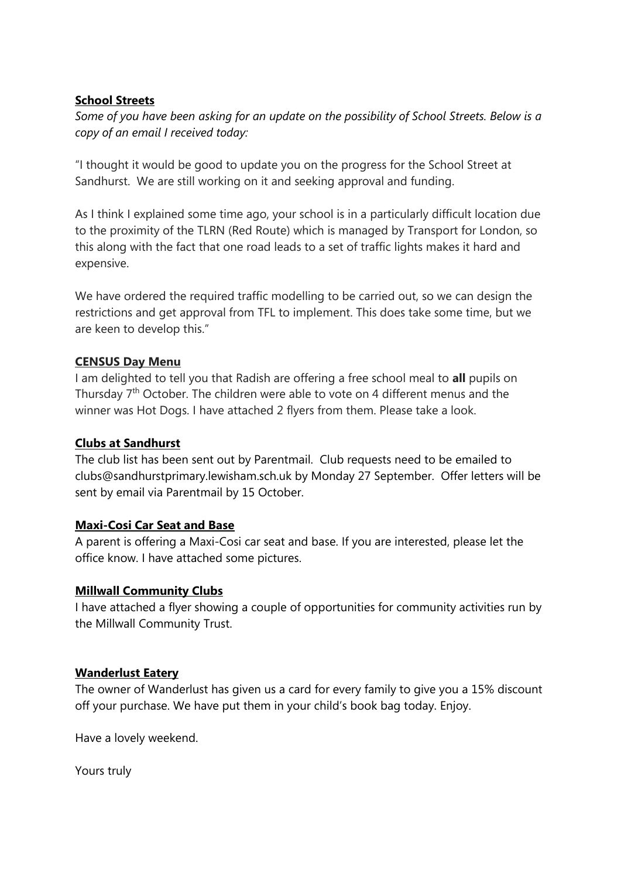#### **School Streets**

*Some of you have been asking for an update on the possibility of School Streets. Below is a copy of an email I received today:*

"I thought it would be good to update you on the progress for the School Street at Sandhurst. We are still working on it and seeking approval and funding.

As I think I explained some time ago, your school is in a particularly difficult location due to the proximity of the TLRN (Red Route) which is managed by Transport for London, so this along with the fact that one road leads to a set of traffic lights makes it hard and expensive.

We have ordered the required traffic modelling to be carried out, so we can design the restrictions and get approval from TFL to implement. This does take some time, but we are keen to develop this."

#### **CENSUS Day Menu**

I am delighted to tell you that Radish are offering a free school meal to **all** pupils on Thursday 7<sup>th</sup> October. The children were able to vote on 4 different menus and the winner was Hot Dogs. I have attached 2 flyers from them. Please take a look.

### **Clubs at Sandhurst**

The club list has been sent out by Parentmail. Club requests need to be emailed to clubs@sandhurstprimary.lewisham.sch.uk by Monday 27 September. Offer letters will be sent by email via Parentmail by 15 October.

# **Maxi-Cosi Car Seat and Base**

A parent is offering a Maxi-Cosi car seat and base. If you are interested, please let the office know. I have attached some pictures.

# **Millwall Community Clubs**

I have attached a flyer showing a couple of opportunities for community activities run by the Millwall Community Trust.

# **Wanderlust Eatery**

The owner of Wanderlust has given us a card for every family to give you a 15% discount off your purchase. We have put them in your child's book bag today. Enjoy.

Have a lovely weekend.

Yours truly